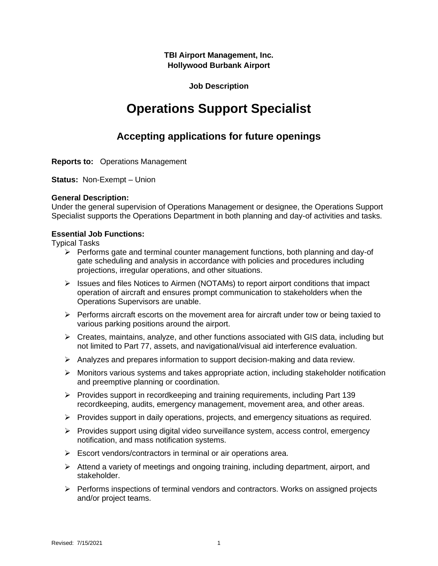**TBI Airport Management, Inc. Hollywood Burbank Airport**

# **Job Description**

# **Operations Support Specialist**

# **Accepting applications for future openings**

**Reports to:** Operations Management

**Status:** Non-Exempt – Union

### **General Description:**

Under the general supervision of Operations Management or designee, the Operations Support Specialist supports the Operations Department in both planning and day-of activities and tasks.

#### **Essential Job Functions:**

Typical Tasks

- $\triangleright$  Performs gate and terminal counter management functions, both planning and day-of gate scheduling and analysis in accordance with policies and procedures including projections, irregular operations, and other situations.
- $\triangleright$  Issues and files Notices to Airmen (NOTAMs) to report airport conditions that impact operation of aircraft and ensures prompt communication to stakeholders when the Operations Supervisors are unable.
- $\triangleright$  Performs aircraft escorts on the movement area for aircraft under tow or being taxied to various parking positions around the airport.
- $\triangleright$  Creates, maintains, analyze, and other functions associated with GIS data, including but not limited to Part 77, assets, and navigational/visual aid interference evaluation.
- $\triangleright$  Analyzes and prepares information to support decision-making and data review.
- $\triangleright$  Monitors various systems and takes appropriate action, including stakeholder notification and preemptive planning or coordination.
- $\triangleright$  Provides support in recordkeeping and training requirements, including Part 139 recordkeeping, audits, emergency management, movement area, and other areas.
- $\triangleright$  Provides support in daily operations, projects, and emergency situations as required.
- ➢ Provides support using digital video surveillance system, access control, emergency notification, and mass notification systems.
- ➢ Escort vendors/contractors in terminal or air operations area.
- ➢ Attend a variety of meetings and ongoing training, including department, airport, and stakeholder.
- $\triangleright$  Performs inspections of terminal vendors and contractors. Works on assigned projects and/or project teams.